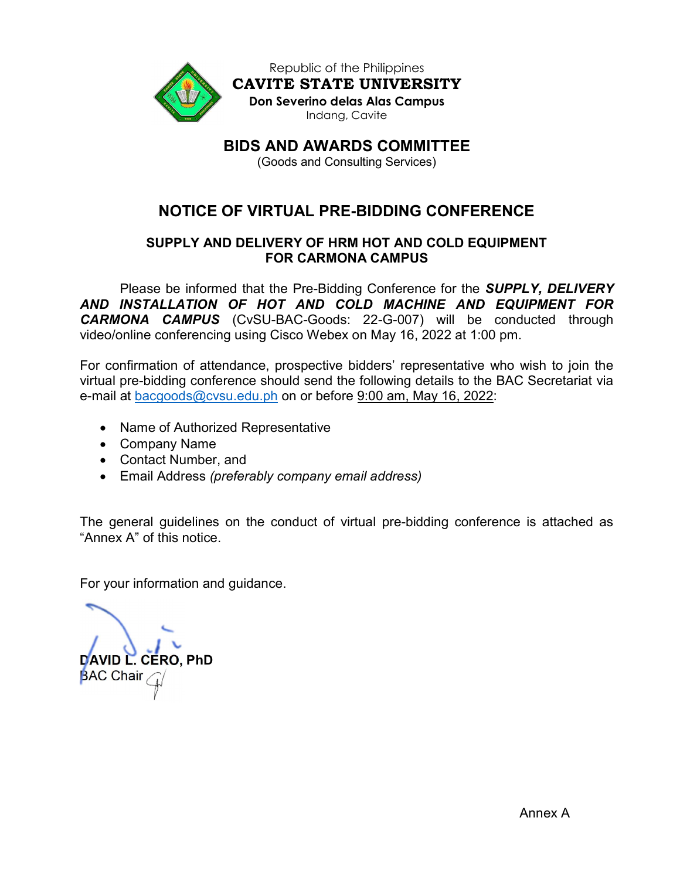

Republic of the Philippines CAVITE STATE UNIVERSITY Don Severino delas Alas Campus Indang, Cavite

BIDS AND AWARDS COMMITTEE

(Goods and Consulting Services)

# NOTICE OF VIRTUAL PRE-BIDDING CONFERENCE

# SUPPLY AND DELIVERY OF HRM HOT AND COLD EQUIPMENT FOR CARMONA CAMPUS

Please be informed that the Pre-Bidding Conference for the **SUPPLY, DELIVERY** AND INSTALLATION OF HOT AND COLD MACHINE AND EQUIPMENT FOR CARMONA CAMPUS (CvSU-BAC-Goods: 22-G-007) will be conducted through video/online conferencing using Cisco Webex on May 16, 2022 at 1:00 pm.

For confirmation of attendance, prospective bidders' representative who wish to join the virtual pre-bidding conference should send the following details to the BAC Secretariat via e-mail at bacgoods@cvsu.edu.ph on or before 9:00 am, May 16, 2022:

- Name of Authorized Representative
- Company Name
- Contact Number, and
- Email Address (preferably company email address)

The general guidelines on the conduct of virtual pre-bidding conference is attached as "Annex A" of this notice.

For your information and guidance.

DAVID L. CERO, PhD **BAC Chair**